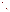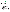## **THE ENVIRONMENTAL TECHNOLOGY VERIFICATION**







# **ETV Joint Verification Statement**

|                                      | <b>TECHNOLOGY TYPE: Infrared Open-Path Monitor</b>              |                       |                              |
|--------------------------------------|-----------------------------------------------------------------|-----------------------|------------------------------|
| <b>APPLICATION:</b>                  | <b>MONITORING AIR QUALITY</b>                                   |                       |                              |
|                                      | <b>TECHNOLOGY NAME: SafEye 227 Infrared Open-Path Monitor</b>   |                       |                              |
| <b>COMPANY:</b>                      | <b>Spectrex Inc.</b>                                            |                       |                              |
| <b>ADDRESS:</b>                      | 218 Little Falls Road<br>Cedar Grove, NJ 07009                  | <b>PHONE:</b><br>FAX: | 973-239-8398<br>973-239-7614 |
| <b>WEB SITE:</b><br>$E\text{-}MAIL:$ | http://www.spectrex-inc.com/safeye<br>spectrex@spectrex-inc.com |                       |                              |

The U.S. Environmental Protection Agency (EPA) has created the Environmental Technology Verification (ETV) Program to facilitate the deployment of innovative or improved environmental technologies through performance verification and dissemination of information. The goal of the ETV Program is to further environmental protection by substantially accelerating the acceptance and use of improved and cost-effective technologies. ETV seeks to achieve this goal by providing high quality, peer-reviewed data on technology performance to those involved in the design, distribution, financing, permitting, purchase, and use of environmental technologies.

ETV works in partnership with recognized standards and testing organizations; with stakeholder groups that consist of buyers, vendor organizations, and permitters; and with the full participation of individual technology developers. The program evaluates the performance of innovative technologies by developing test plans that are responsive to the needs of stakeholders, conducting field or laboratory tests (as appropriate), collecting and analyzing data, and preparing peer-reviewed reports. All evaluations are conducted in accordance with rigorous quality assurance protocols to ensure that data of known and adequate quality are generated and that the results are defensible.

The Advanced Monitoring Systems (AMS) Center, one of six technology areas under ETV, is operated by Battelle in cooperation with EPA's National Exposure Research Laboratory. The AMS Center has recently evaluated the performance of optical open-path monitors used to determine pollutants in outdoor air. This verification statement provides a summary of the test results for the Spectrex Inc. SafEye 227 infrared (IR) openpath monitor.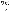#### **VERIFICATION TEST DESCRIPTION**

The test was designed to challenge the SafEye 227 in a manner simulating field operations. The monitor was challenged in a controlled and uniform manner, using an optically transparent gas cell filled with known concentrations of a target gas. The gas cell was inserted into the optical path of the monitor during operation under field conditions, simulating the presence of the target gas in the ambient air. The monitor was challenged with three target gases commonly measured by this monitor (methane, propane, and a gas mixture) at known concentrations, and the measurement results were compared to the known concentration of the target gas. The verification was conducted by measuring the three gases in a fixed sequence over three days. National Institute of Standards and Technology-traceable or commercially certified standard gases, a calibrated gas diluter, and a supply of certified high-purity dilution gas were used to supply the target gases to the gas cell.

Target gases were measured at different path lengths, integration times, source intensities, and numbers of replicate measurements to assess minimum detection limit (MDL), source strength linearity, concentration linearity, accuracy, precision, and sensitivity to atmospheric interferences. The test procedures were nested, in that each measurement was used to evaluate more than one of the above parameters. Cells were flushed periodically with high-purity nitrogen. The MDL was calculated for each target gas by supplying pure nitrogen to the gas cell in the optical path of the monitor and taking a series of 25 single-beam spectra using integration times of 1 and 5 minutes. Two types of linearity were investigated during this verification: source strength and concentration. Source strength linearity was investigated by measuring the effects on the monitor's performance by changing the source intensity. Concentration linearity was investigated by challenging the SafEye 227 with each target gas at varying concentrations, while the path length and integration time were kept constant. Accuracy of the monitor relative to the gas standards was verified by introducing known concentrations of the target gas into the cell. The procedure for determining precision was very similar to the procedure for determining accuracy. The effects of interfering gases were established by supplying the gas cell with a target gas and varying the distance (i.e., the path length) between the source and detector of the monitor.

Quality assurance (QA) oversight of verification testing was provided by Battelle. Battelle QA staff conducted a data quality audit of 10% of the test data. Battelle testing staff also conducted a performance evaluation audit, which was reviewed by QA staff. In addition, during previous verifications of optical open-path monitors, EPA QA staff conducted an independent technical systems audit of the procedures used in this verification.

#### **TECHNOLOGY DESCRIPTION**

The SafEye 227 is an alarm system that detects hydrocarbons with a high-frequency IR flash source and two absorbed band sensors centered at the 3.4-µ wavelength. This design also employs a dual-band reference that minimizes environmental factors such as moisture and other background gases to maintain a high signal-to-noise ratio. Other performance features include three levels of logic, four levels of automatic gain control, four built-in calibrations, two span settings, and four flash rates. Operational integrity can be maintained with up to three degrees of misalignment and/or up to 90% signal obscuration. The SafEye 227 is made up of two components: a flash source and a detector. These components can be separated to measure ambient gas concentrations over a path length from 1 to 140 meters. The flash source projects a wavelength (specific for the type of gas to be measured) to the detector over an unobstructed line of sight. The beam is attenuated when a hazardous gas traverses it at any point along its path. The detector measures the amount of attenuation by means of two narrowband sensors and compares this information to a third reference sensor input that is not affected by the subject gas or environmental factors. The detector's microprocessor software interprets the data and provides output signals in terms of lower explosive limit meters (LEL\*m). The detector transmits the data via a 4 to 20 mA signal or an RS485 port; or, if a pre-set gas concentration is exceeded, closes one of three contacts. All the SafEye models (ultraviolet and infrared) are approved for industrial applications by international standards: CENELEC explosion-proof enclosures (per EN 50014, 50018, and 50019), Underwriter's Laboratory, and Factory Method (Class I Division 1, Groups B, C, and D and Class II Division 1, Groups E, F, and G).